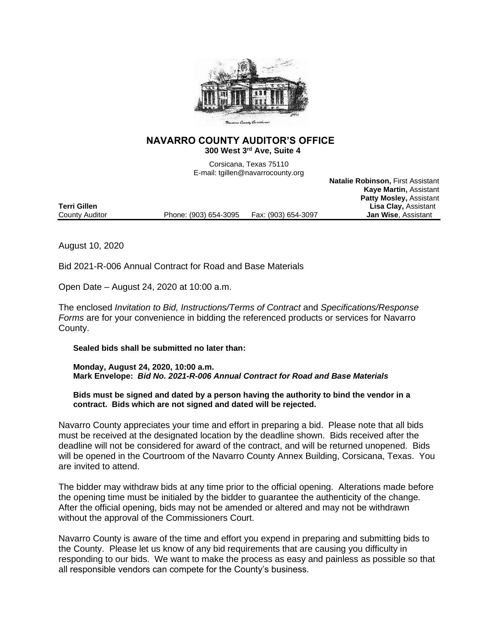

## **NAVARRO COUNTY AUDITOR'S OFFICE 300 West 3rd Ave, Suite 4**

Corsicana, Texas 75110 E-mail: tgillen@navarrocounty.org

**Natalie Robinson,** First Assistant

|                     |                       |                     | <b>Kaye Martin, Assistant</b>  |
|---------------------|-----------------------|---------------------|--------------------------------|
|                     |                       |                     | <b>Patty Mosley, Assistant</b> |
| <b>Terri Gillen</b> |                       |                     | <b>Lisa Clay, Assistant</b>    |
| County Auditor      | Phone: (903) 654-3095 | Fax: (903) 654-3097 | <b>Jan Wise, Assistant</b>     |
|                     |                       |                     |                                |

August 10, 2020

Bid 2021-R-006 Annual Contract for Road and Base Materials

Open Date – August 24, 2020 at 10:00 a.m.

The enclosed *Invitation to Bid, Instructions/Terms of Contract* and *Specifications/Response Forms* are for your convenience in bidding the referenced products or services for Navarro County.

**Sealed bids shall be submitted no later than:**

**Monday, August 24, 2020, 10:00 a.m. Mark Envelope:** *Bid No. 2021-R-006 Annual Contract for Road and Base Materials*

**Bids must be signed and dated by a person having the authority to bind the vendor in a contract. Bids which are not signed and dated will be rejected.**

Navarro County appreciates your time and effort in preparing a bid. Please note that all bids must be received at the designated location by the deadline shown. Bids received after the deadline will not be considered for award of the contract, and will be returned unopened. Bids will be opened in the Courtroom of the Navarro County Annex Building, Corsicana, Texas. You are invited to attend.

The bidder may withdraw bids at any time prior to the official opening. Alterations made before the opening time must be initialed by the bidder to guarantee the authenticity of the change. After the official opening, bids may not be amended or altered and may not be withdrawn without the approval of the Commissioners Court.

Navarro County is aware of the time and effort you expend in preparing and submitting bids to the County. Please let us know of any bid requirements that are causing you difficulty in responding to our bids. We want to make the process as easy and painless as possible so that all responsible vendors can compete for the County's business.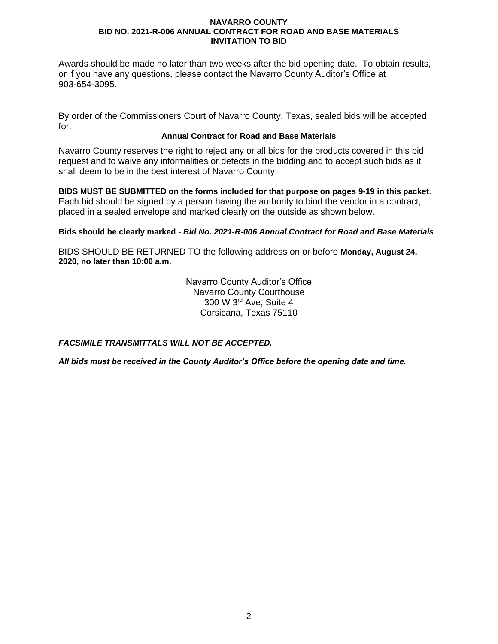Awards should be made no later than two weeks after the bid opening date. To obtain results, or if you have any questions, please contact the Navarro County Auditor's Office at 903-654-3095.

By order of the Commissioners Court of Navarro County, Texas, sealed bids will be accepted for:

## **Annual Contract for Road and Base Materials**

Navarro County reserves the right to reject any or all bids for the products covered in this bid request and to waive any informalities or defects in the bidding and to accept such bids as it shall deem to be in the best interest of Navarro County.

**BIDS MUST BE SUBMITTED on the forms included for that purpose on pages 9-19 in this packet**. Each bid should be signed by a person having the authority to bind the vendor in a contract, placed in a sealed envelope and marked clearly on the outside as shown below.

## **Bids should be clearly marked -** *Bid No. 2021-R-006 Annual Contract for Road and Base Materials*

BIDS SHOULD BE RETURNED TO the following address on or before **Monday, August 24, 2020, no later than 10:00 a.m.**

> Navarro County Auditor's Office Navarro County Courthouse 300 W 3rd Ave, Suite 4 Corsicana, Texas 75110

*FACSIMILE TRANSMITTALS WILL NOT BE ACCEPTED.*

*All bids must be received in the County Auditor's Office before the opening date and time.*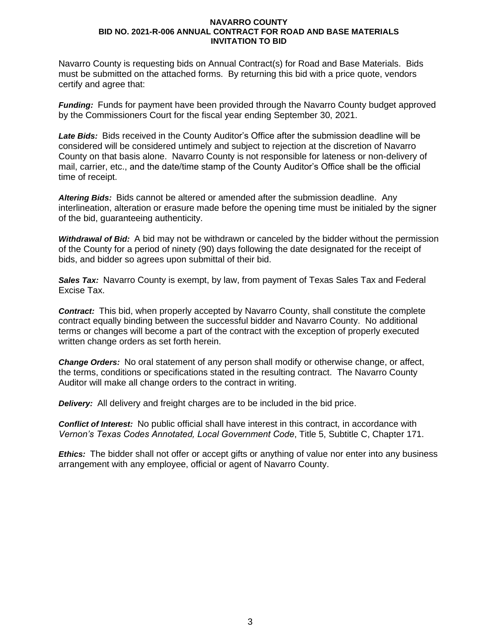Navarro County is requesting bids on Annual Contract(s) for Road and Base Materials. Bids must be submitted on the attached forms. By returning this bid with a price quote, vendors certify and agree that:

*Funding:* Funds for payment have been provided through the Navarro County budget approved by the Commissioners Court for the fiscal year ending September 30, 2021.

*Late Bids:* Bids received in the County Auditor's Office after the submission deadline will be considered will be considered untimely and subject to rejection at the discretion of Navarro County on that basis alone. Navarro County is not responsible for lateness or non-delivery of mail, carrier, etc., and the date/time stamp of the County Auditor's Office shall be the official time of receipt.

*Altering Bids:* Bids cannot be altered or amended after the submission deadline. Any interlineation, alteration or erasure made before the opening time must be initialed by the signer of the bid, guaranteeing authenticity.

*Withdrawal of Bid:* A bid may not be withdrawn or canceled by the bidder without the permission of the County for a period of ninety (90) days following the date designated for the receipt of bids, and bidder so agrees upon submittal of their bid.

**Sales Tax:** Navarro County is exempt, by law, from payment of Texas Sales Tax and Federal Excise Tax.

*Contract:* This bid, when properly accepted by Navarro County, shall constitute the complete contract equally binding between the successful bidder and Navarro County. No additional terms or changes will become a part of the contract with the exception of properly executed written change orders as set forth herein.

*Change Orders:* No oral statement of any person shall modify or otherwise change, or affect, the terms, conditions or specifications stated in the resulting contract. The Navarro County Auditor will make all change orders to the contract in writing.

*Delivery:* All delivery and freight charges are to be included in the bid price.

*Conflict of Interest:* No public official shall have interest in this contract, in accordance with *Vernon's Texas Codes Annotated, Local Government Code*, Title 5, Subtitle C, Chapter 171.

*Ethics:* The bidder shall not offer or accept gifts or anything of value nor enter into any business arrangement with any employee, official or agent of Navarro County.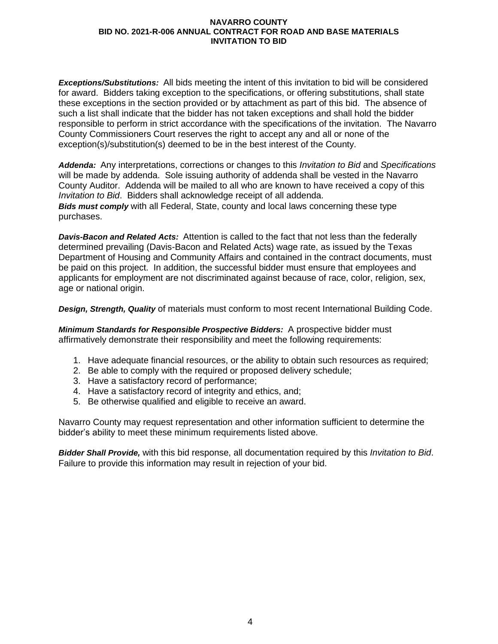*Exceptions/Substitutions:* All bids meeting the intent of this invitation to bid will be considered for award. Bidders taking exception to the specifications, or offering substitutions, shall state these exceptions in the section provided or by attachment as part of this bid. The absence of such a list shall indicate that the bidder has not taken exceptions and shall hold the bidder responsible to perform in strict accordance with the specifications of the invitation. The Navarro County Commissioners Court reserves the right to accept any and all or none of the exception(s)/substitution(s) deemed to be in the best interest of the County.

*Addenda:* Any interpretations, corrections or changes to this *Invitation to Bid* and *Specifications* will be made by addenda. Sole issuing authority of addenda shall be vested in the Navarro County Auditor. Addenda will be mailed to all who are known to have received a copy of this *Invitation to Bid*. Bidders shall acknowledge receipt of all addenda. *Bids must comply* with all Federal, State, county and local laws concerning these type purchases.

*Davis-Bacon and Related Acts:* Attention is called to the fact that not less than the federally determined prevailing (Davis-Bacon and Related Acts) wage rate, as issued by the Texas Department of Housing and Community Affairs and contained in the contract documents, must be paid on this project. In addition, the successful bidder must ensure that employees and applicants for employment are not discriminated against because of race, color, religion, sex, age or national origin.

*Design, Strength, Quality* of materials must conform to most recent International Building Code.

*Minimum Standards for Responsible Prospective Bidders:* A prospective bidder must affirmatively demonstrate their responsibility and meet the following requirements:

- 1. Have adequate financial resources, or the ability to obtain such resources as required;
- 2. Be able to comply with the required or proposed delivery schedule;
- 3. Have a satisfactory record of performance;
- 4. Have a satisfactory record of integrity and ethics, and;
- 5. Be otherwise qualified and eligible to receive an award.

Navarro County may request representation and other information sufficient to determine the bidder's ability to meet these minimum requirements listed above.

*Bidder Shall Provide,* with this bid response, all documentation required by this *Invitation to Bid*. Failure to provide this information may result in rejection of your bid.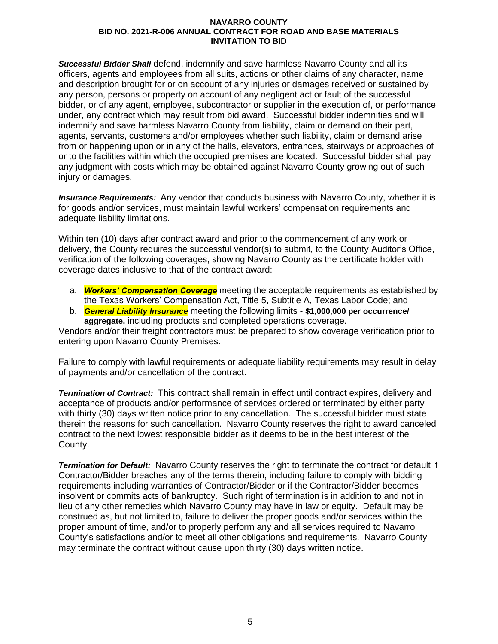*Successful Bidder Shall* defend, indemnify and save harmless Navarro County and all its officers, agents and employees from all suits, actions or other claims of any character, name and description brought for or on account of any injuries or damages received or sustained by any person, persons or property on account of any negligent act or fault of the successful bidder, or of any agent, employee, subcontractor or supplier in the execution of, or performance under, any contract which may result from bid award. Successful bidder indemnifies and will indemnify and save harmless Navarro County from liability, claim or demand on their part, agents, servants, customers and/or employees whether such liability, claim or demand arise from or happening upon or in any of the halls, elevators, entrances, stairways or approaches of or to the facilities within which the occupied premises are located. Successful bidder shall pay any judgment with costs which may be obtained against Navarro County growing out of such injury or damages.

*Insurance Requirements:* Any vendor that conducts business with Navarro County, whether it is for goods and/or services, must maintain lawful workers' compensation requirements and adequate liability limitations.

Within ten (10) days after contract award and prior to the commencement of any work or delivery, the County requires the successful vendor(s) to submit, to the County Auditor's Office, verification of the following coverages, showing Navarro County as the certificate holder with coverage dates inclusive to that of the contract award:

- a. *Workers' Compensation Coverage* meeting the acceptable requirements as established by the Texas Workers' Compensation Act, Title 5, Subtitle A, Texas Labor Code; and
- b. *General Liability Insurance* meeting the following limits **\$1,000,000 per occurrence/ aggregate,** including products and completed operations coverage.

Vendors and/or their freight contractors must be prepared to show coverage verification prior to entering upon Navarro County Premises.

Failure to comply with lawful requirements or adequate liability requirements may result in delay of payments and/or cancellation of the contract.

*Termination of Contract:* This contract shall remain in effect until contract expires, delivery and acceptance of products and/or performance of services ordered or terminated by either party with thirty (30) days written notice prior to any cancellation. The successful bidder must state therein the reasons for such cancellation. Navarro County reserves the right to award canceled contract to the next lowest responsible bidder as it deems to be in the best interest of the County.

*Termination for Default:* Navarro County reserves the right to terminate the contract for default if Contractor/Bidder breaches any of the terms therein, including failure to comply with bidding requirements including warranties of Contractor/Bidder or if the Contractor/Bidder becomes insolvent or commits acts of bankruptcy. Such right of termination is in addition to and not in lieu of any other remedies which Navarro County may have in law or equity. Default may be construed as, but not limited to, failure to deliver the proper goods and/or services within the proper amount of time, and/or to properly perform any and all services required to Navarro County's satisfactions and/or to meet all other obligations and requirements. Navarro County may terminate the contract without cause upon thirty (30) days written notice.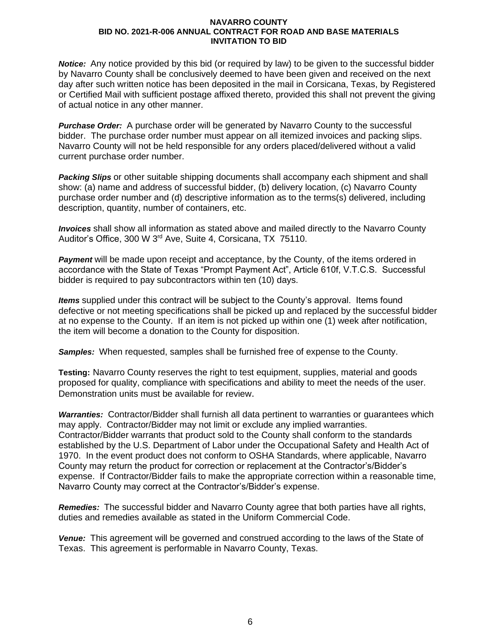*Notice:* Any notice provided by this bid (or required by law) to be given to the successful bidder by Navarro County shall be conclusively deemed to have been given and received on the next day after such written notice has been deposited in the mail in Corsicana, Texas, by Registered or Certified Mail with sufficient postage affixed thereto, provided this shall not prevent the giving of actual notice in any other manner.

*Purchase Order:* A purchase order will be generated by Navarro County to the successful bidder. The purchase order number must appear on all itemized invoices and packing slips. Navarro County will not be held responsible for any orders placed/delivered without a valid current purchase order number.

*Packing Slips* or other suitable shipping documents shall accompany each shipment and shall show: (a) name and address of successful bidder, (b) delivery location, (c) Navarro County purchase order number and (d) descriptive information as to the terms(s) delivered, including description, quantity, number of containers, etc.

*Invoices* shall show all information as stated above and mailed directly to the Navarro County Auditor's Office, 300 W 3rd Ave, Suite 4, Corsicana, TX 75110.

**Payment** will be made upon receipt and acceptance, by the County, of the items ordered in accordance with the State of Texas "Prompt Payment Act", Article 610f, V.T.C.S. Successful bidder is required to pay subcontractors within ten (10) days.

*Items* supplied under this contract will be subject to the County's approval. Items found defective or not meeting specifications shall be picked up and replaced by the successful bidder at no expense to the County. If an item is not picked up within one (1) week after notification, the item will become a donation to the County for disposition.

*Samples:* When requested, samples shall be furnished free of expense to the County.

**Testing:** Navarro County reserves the right to test equipment, supplies, material and goods proposed for quality, compliance with specifications and ability to meet the needs of the user. Demonstration units must be available for review.

*Warranties:* Contractor/Bidder shall furnish all data pertinent to warranties or guarantees which may apply. Contractor/Bidder may not limit or exclude any implied warranties. Contractor/Bidder warrants that product sold to the County shall conform to the standards established by the U.S. Department of Labor under the Occupational Safety and Health Act of 1970. In the event product does not conform to OSHA Standards, where applicable, Navarro County may return the product for correction or replacement at the Contractor's/Bidder's expense. If Contractor/Bidder fails to make the appropriate correction within a reasonable time, Navarro County may correct at the Contractor's/Bidder's expense.

*Remedies:* The successful bidder and Navarro County agree that both parties have all rights, duties and remedies available as stated in the Uniform Commercial Code.

*Venue:* This agreement will be governed and construed according to the laws of the State of Texas. This agreement is performable in Navarro County, Texas.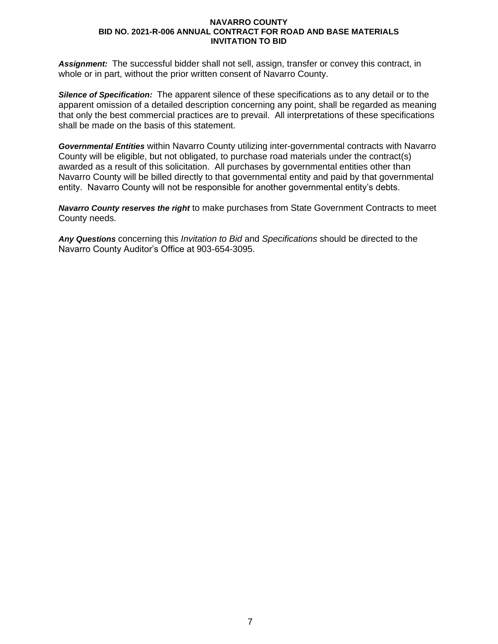*Assignment:* The successful bidder shall not sell, assign, transfer or convey this contract, in whole or in part, without the prior written consent of Navarro County.

*Silence of Specification:* The apparent silence of these specifications as to any detail or to the apparent omission of a detailed description concerning any point, shall be regarded as meaning that only the best commercial practices are to prevail. All interpretations of these specifications shall be made on the basis of this statement.

*Governmental Entities* within Navarro County utilizing inter-governmental contracts with Navarro County will be eligible, but not obligated, to purchase road materials under the contract(s) awarded as a result of this solicitation. All purchases by governmental entities other than Navarro County will be billed directly to that governmental entity and paid by that governmental entity. Navarro County will not be responsible for another governmental entity's debts.

*Navarro County reserves the right* to make purchases from State Government Contracts to meet County needs.

*Any Questions* concerning this *Invitation to Bid* and *Specifications* should be directed to the Navarro County Auditor's Office at 903-654-3095.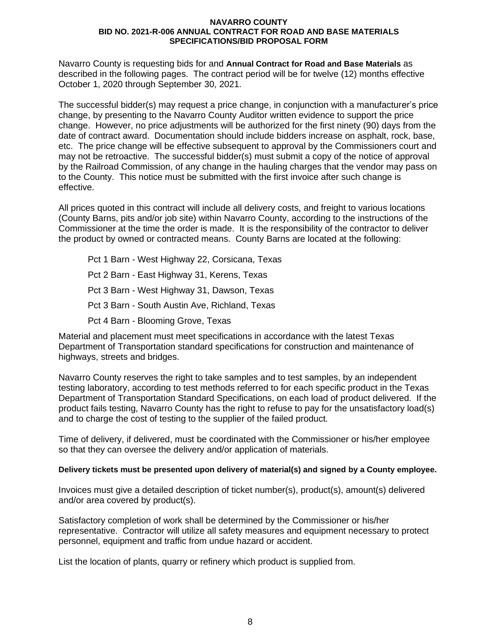Navarro County is requesting bids for and **Annual Contract for Road and Base Materials** as described in the following pages. The contract period will be for twelve (12) months effective October 1, 2020 through September 30, 2021.

The successful bidder(s) may request a price change, in conjunction with a manufacturer's price change, by presenting to the Navarro County Auditor written evidence to support the price change. However, no price adjustments will be authorized for the first ninety (90) days from the date of contract award. Documentation should include bidders increase on asphalt, rock, base, etc. The price change will be effective subsequent to approval by the Commissioners court and may not be retroactive. The successful bidder(s) must submit a copy of the notice of approval by the Railroad Commission, of any change in the hauling charges that the vendor may pass on to the County. This notice must be submitted with the first invoice after such change is effective.

All prices quoted in this contract will include all delivery costs, and freight to various locations (County Barns, pits and/or job site) within Navarro County, according to the instructions of the Commissioner at the time the order is made. It is the responsibility of the contractor to deliver the product by owned or contracted means. County Barns are located at the following:

Pct 1 Barn - West Highway 22, Corsicana, Texas Pct 2 Barn - East Highway 31, Kerens, Texas Pct 3 Barn - West Highway 31, Dawson, Texas Pct 3 Barn - South Austin Ave, Richland, Texas Pct 4 Barn - Blooming Grove, Texas

Material and placement must meet specifications in accordance with the latest Texas Department of Transportation standard specifications for construction and maintenance of highways, streets and bridges.

Navarro County reserves the right to take samples and to test samples, by an independent testing laboratory, according to test methods referred to for each specific product in the Texas Department of Transportation Standard Specifications, on each load of product delivered. If the product fails testing, Navarro County has the right to refuse to pay for the unsatisfactory load(s) and to charge the cost of testing to the supplier of the failed product.

Time of delivery, if delivered, must be coordinated with the Commissioner or his/her employee so that they can oversee the delivery and/or application of materials.

## **Delivery tickets must be presented upon delivery of material(s) and signed by a County employee.**

Invoices must give a detailed description of ticket number(s), product(s), amount(s) delivered and/or area covered by product(s).

Satisfactory completion of work shall be determined by the Commissioner or his/her representative. Contractor will utilize all safety measures and equipment necessary to protect personnel, equipment and traffic from undue hazard or accident.

List the location of plants, quarry or refinery which product is supplied from.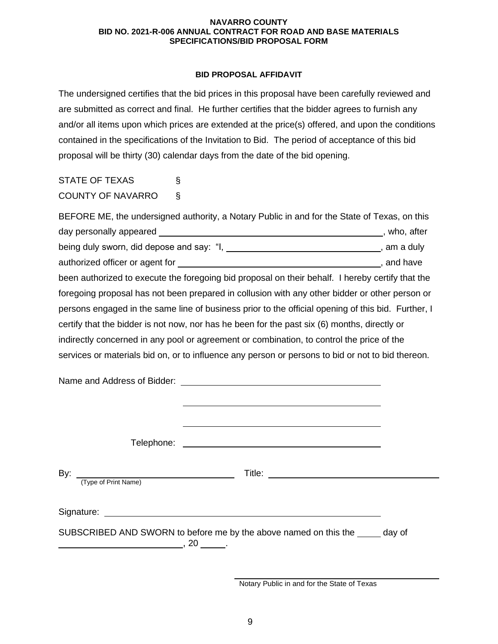## **BID PROPOSAL AFFIDAVIT**

The undersigned certifies that the bid prices in this proposal have been carefully reviewed and are submitted as correct and final. He further certifies that the bidder agrees to furnish any and/or all items upon which prices are extended at the price(s) offered, and upon the conditions contained in the specifications of the Invitation to Bid. The period of acceptance of this bid proposal will be thirty (30) calendar days from the date of the bid opening.

STATE OF TEXAS § COUNTY OF NAVARRO §

BEFORE ME, the undersigned authority, a Notary Public in and for the State of Texas, on this day personally appeared **of the set of the set of the set of the set of the set of the set of the set of the set of the set of the set of the set of the set of the set of the set of the set of the set of the set of the set** being duly sworn, did depose and say: " $I_1$ ,  $I_2$ ,  $I_3$ ,  $I_4$ ,  $I_5$ ,  $I_6$ ,  $I_7$ ,  $I_8$ ,  $I_9$ ,  $I_9$ ,  $I_9$ ,  $I_9$ ,  $I_9$ ,  $I_9$ ,  $I_9$ ,  $I_9$ ,  $I_9$ ,  $I_9$ ,  $I_9$ ,  $I_9$ ,  $I_9$ ,  $I_9$ ,  $I_9$ ,  $I_9$ ,  $I_9$ ,  $I_9$ , authorized officer or agent for  $\overline{\phantom{a}}$  and have , and have been authorized to execute the foregoing bid proposal on their behalf. I hereby certify that the foregoing proposal has not been prepared in collusion with any other bidder or other person or persons engaged in the same line of business prior to the official opening of this bid. Further, I certify that the bidder is not now, nor has he been for the past six (6) months, directly or indirectly concerned in any pool or agreement or combination, to control the price of the services or materials bid on, or to influence any person or persons to bid or not to bid thereon.

| (Type of Print Name)                                                          |  |  |  |  |
|-------------------------------------------------------------------------------|--|--|--|--|
| SUBSCRIBED AND SWORN to before me by the above named on this the _____ day of |  |  |  |  |

Notary Public in and for the State of Texas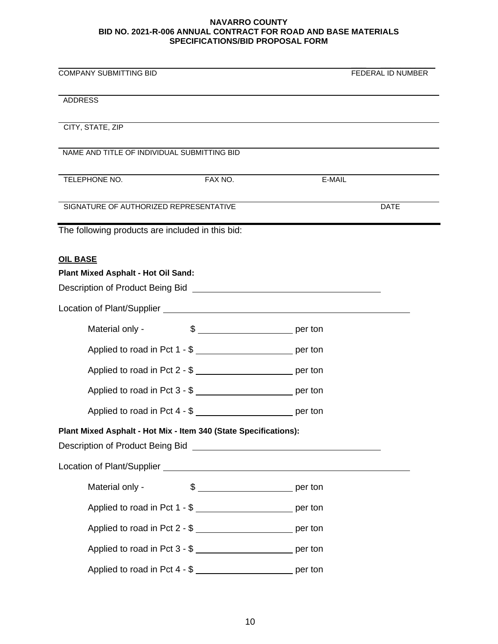| <b>COMPANY SUBMITTING BID</b>                                                                                                                                                                                                                                                                            | FEDERAL ID NUMBER     |
|----------------------------------------------------------------------------------------------------------------------------------------------------------------------------------------------------------------------------------------------------------------------------------------------------------|-----------------------|
| <b>ADDRESS</b>                                                                                                                                                                                                                                                                                           |                       |
| CITY, STATE, ZIP                                                                                                                                                                                                                                                                                         |                       |
| NAME AND TITLE OF INDIVIDUAL SUBMITTING BID                                                                                                                                                                                                                                                              |                       |
| TELEPHONE NO.<br>FAX NO.                                                                                                                                                                                                                                                                                 | E-MAIL                |
| SIGNATURE OF AUTHORIZED REPRESENTATIVE                                                                                                                                                                                                                                                                   | <b>DATE</b>           |
| The following products are included in this bid:                                                                                                                                                                                                                                                         |                       |
| <b>OIL BASE</b>                                                                                                                                                                                                                                                                                          |                       |
| Plant Mixed Asphalt - Hot Oil Sand:                                                                                                                                                                                                                                                                      |                       |
| Description of Product Being Bid Network and Secretary Annual Account of Product Being Bid                                                                                                                                                                                                               |                       |
|                                                                                                                                                                                                                                                                                                          |                       |
| Material only -                                                                                                                                                                                                                                                                                          | $\frac{1}{2}$ per ton |
| Applied to road in Pct 1 - \$                                                                                                                                                                                                                                                                            |                       |
| Applied to road in Pct 2 - \$ ___________________________ per ton                                                                                                                                                                                                                                        |                       |
| Applied to road in Pct 3 - \$ __________________________ per ton                                                                                                                                                                                                                                         |                       |
| Applied to road in Pct 4 - \$                                                                                                                                                                                                                                                                            |                       |
| Plant Mixed Asphalt - Hot Mix - Item 340 (State Specifications):<br>Description of Product Being Bid <b>Constantine Constantine Constantine Constantine Constantine Constantine Constantine Constantine Constantine Constantine Constantine Constantine Constantine Constantine Constantine Constant</b> |                       |
|                                                                                                                                                                                                                                                                                                          |                       |
| Material only -                                                                                                                                                                                                                                                                                          |                       |
| Applied to road in Pct 1 - \$ ___________________________ per ton                                                                                                                                                                                                                                        |                       |
| Applied to road in Pct 2 - \$                                                                                                                                                                                                                                                                            |                       |
| Applied to road in Pct 3 - \$                                                                                                                                                                                                                                                                            |                       |
| Applied to road in Pct 4 - \$ ___________________________ per ton                                                                                                                                                                                                                                        |                       |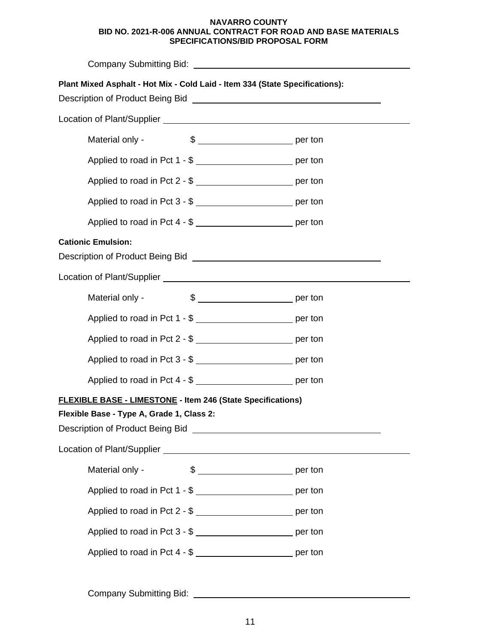| Plant Mixed Asphalt - Hot Mix - Cold Laid - Item 334 (State Specifications):<br>Description of Product Being Bid New York Changes and Theorem 2014                                                                                                                                |                       |  |  |
|-----------------------------------------------------------------------------------------------------------------------------------------------------------------------------------------------------------------------------------------------------------------------------------|-----------------------|--|--|
|                                                                                                                                                                                                                                                                                   |                       |  |  |
| Material only -                                                                                                                                                                                                                                                                   | $\frac{1}{2}$ per ton |  |  |
| Applied to road in Pct 1 - \$ ___________________________ per ton                                                                                                                                                                                                                 |                       |  |  |
| Applied to road in Pct 2 - \$ ___________________________ per ton                                                                                                                                                                                                                 |                       |  |  |
| Applied to road in Pct 3 - \$ __________________________ per ton                                                                                                                                                                                                                  |                       |  |  |
| Applied to road in Pct 4 - \$                                                                                                                                                                                                                                                     |                       |  |  |
| <b>Cationic Emulsion:</b><br>Description of Product Being Bid New York Control of Product Being Bid                                                                                                                                                                               |                       |  |  |
|                                                                                                                                                                                                                                                                                   |                       |  |  |
| Material only -                                                                                                                                                                                                                                                                   |                       |  |  |
| Applied to road in Pct 1 - \$                                                                                                                                                                                                                                                     |                       |  |  |
| Applied to road in Pct 2 - \$                                                                                                                                                                                                                                                     |                       |  |  |
| Applied to road in Pct 3 - \$ ________________________________ per ton                                                                                                                                                                                                            |                       |  |  |
|                                                                                                                                                                                                                                                                                   |                       |  |  |
| FLEXIBLE BASE - LIMESTONE - Item 246 (State Specifications)                                                                                                                                                                                                                       |                       |  |  |
| Flexible Base - Type A, Grade 1, Class 2:<br>Description of Product Being Bid <b>Constantine Constantine Constantine Constantine Constantine Constantine Constantine Constantine Constantine Constantine Constantine Constantine Constantine Constantine Constantine Constant</b> |                       |  |  |
|                                                                                                                                                                                                                                                                                   |                       |  |  |
| Material only -                                                                                                                                                                                                                                                                   |                       |  |  |
| Applied to road in Pct 1 - \$                                                                                                                                                                                                                                                     |                       |  |  |
| Applied to road in Pct 2 - \$ ___________________________ per ton                                                                                                                                                                                                                 |                       |  |  |
| Applied to road in Pct 3 - \$                                                                                                                                                                                                                                                     |                       |  |  |
| Applied to road in Pct 4 - \$ __________________________ per ton                                                                                                                                                                                                                  |                       |  |  |
|                                                                                                                                                                                                                                                                                   |                       |  |  |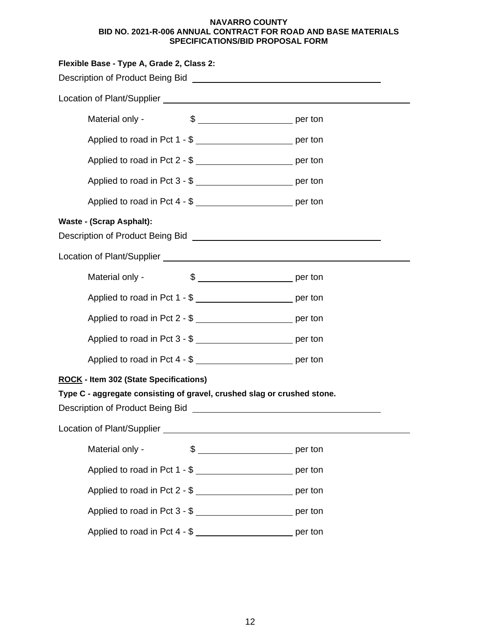| Flexible Base - Type A, Grade 2, Class 2:                                                                                                                                                                                            |                                                                    |  |
|--------------------------------------------------------------------------------------------------------------------------------------------------------------------------------------------------------------------------------------|--------------------------------------------------------------------|--|
| Description of Product Being Bid New York Control of Product Being Bid                                                                                                                                                               |                                                                    |  |
|                                                                                                                                                                                                                                      |                                                                    |  |
| Material only -                                                                                                                                                                                                                      | $\frac{1}{2}$ per ton                                              |  |
|                                                                                                                                                                                                                                      | Applied to road in Pct 1 - \$ __________________________ per ton   |  |
|                                                                                                                                                                                                                                      | Applied to road in Pct 2 - \$                                      |  |
|                                                                                                                                                                                                                                      | Applied to road in Pct 3 - \$ __________________________ per ton   |  |
|                                                                                                                                                                                                                                      | Applied to road in Pct 4 - \$ ___________________________ per ton  |  |
| <b>Waste - (Scrap Asphalt):</b>                                                                                                                                                                                                      |                                                                    |  |
| Description of Product Being Bid New York Changes and Changes and Changes and Changes and Changes and Changes and Changes and Changes and Changes and Changes and Changes and Changes and Changes and Changes and Changes and        |                                                                    |  |
| Location of Plant/Supplier Learner and Contract and Contract of Plant/Supplier                                                                                                                                                       |                                                                    |  |
| Material only -                                                                                                                                                                                                                      |                                                                    |  |
|                                                                                                                                                                                                                                      | Applied to road in Pct 1 - \$ __________________________ per ton   |  |
|                                                                                                                                                                                                                                      | Applied to road in Pct 2 - \$ ___________________________ per ton  |  |
|                                                                                                                                                                                                                                      | Applied to road in Pct 3 - \$ __________________________ per ton   |  |
|                                                                                                                                                                                                                                      | Applied to road in Pct 4 - \$ __________________________ per ton   |  |
| <b>ROCK - Item 302 (State Specifications)</b>                                                                                                                                                                                        |                                                                    |  |
| Type C - aggregate consisting of gravel, crushed slag or crushed stone.                                                                                                                                                              |                                                                    |  |
| Description of Product Being Bid <b>Constanting Constanting Constanting Constanting Constanting Constanting Constanting Constanting Constanting Constanting Constanting Constanting Constanting Constanting Constanting Constant</b> |                                                                    |  |
|                                                                                                                                                                                                                                      |                                                                    |  |
| Material only -                                                                                                                                                                                                                      |                                                                    |  |
|                                                                                                                                                                                                                                      | Applied to road in Pct 1 - \$ ____________________________ per ton |  |
|                                                                                                                                                                                                                                      | Applied to road in Pct 2 - \$ __________________________ per ton   |  |
|                                                                                                                                                                                                                                      | Applied to road in Pct 3 - \$ __________________________ per ton   |  |
|                                                                                                                                                                                                                                      | Applied to road in Pct 4 - \$ __________________________ per ton   |  |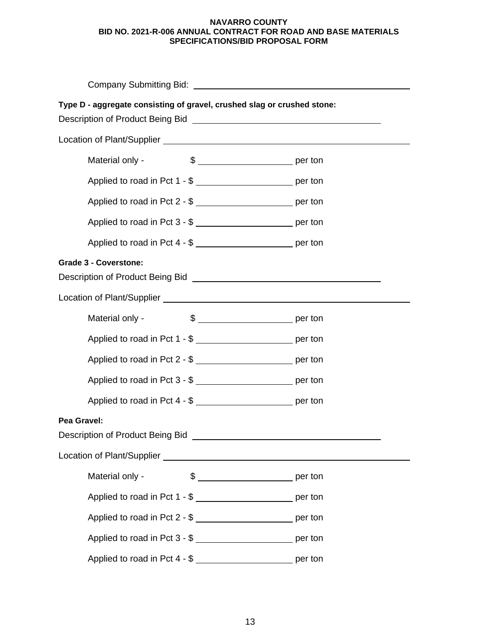| Type D - aggregate consisting of gravel, crushed slag or crushed stone:<br>Description of Product Being Bid Learner and Control and Control of Product Being Bid Learner and Control and |                       |
|------------------------------------------------------------------------------------------------------------------------------------------------------------------------------------------|-----------------------|
|                                                                                                                                                                                          |                       |
| Material only -                                                                                                                                                                          |                       |
| Applied to road in Pct 1 - \$ __________________________ per ton                                                                                                                         |                       |
| Applied to road in Pct 2 - \$ __________________________ per ton                                                                                                                         |                       |
| Applied to road in Pct 3 - \$ __________________________ per ton                                                                                                                         |                       |
| Applied to road in Pct 4 - \$ ___________________________ per ton                                                                                                                        |                       |
| <b>Grade 3 - Coverstone:</b>                                                                                                                                                             |                       |
|                                                                                                                                                                                          |                       |
| Material only -                                                                                                                                                                          | $\frac{1}{2}$ per ton |
| Applied to road in Pct 1 - \$ _____________________________ per ton                                                                                                                      |                       |
| Applied to road in Pct 2 - \$ _____________________________ per ton                                                                                                                      |                       |
| Applied to road in Pct 3 - \$                                                                                                                                                            |                       |
| Applied to road in Pct 4 - \$                                                                                                                                                            |                       |
| Pea Gravel:<br>Description of Product Being Bid                                                                                                                                          |                       |
|                                                                                                                                                                                          |                       |
| Material only -                                                                                                                                                                          |                       |
| Applied to road in Pct 1 - \$ ___________________________ per ton                                                                                                                        |                       |
| Applied to road in Pct 2 - \$ __________________________ per ton                                                                                                                         |                       |
| Applied to road in Pct 3 - \$ __________________________ per ton                                                                                                                         |                       |
| Applied to road in Pct 4 - \$ ____________________________ per ton                                                                                                                       |                       |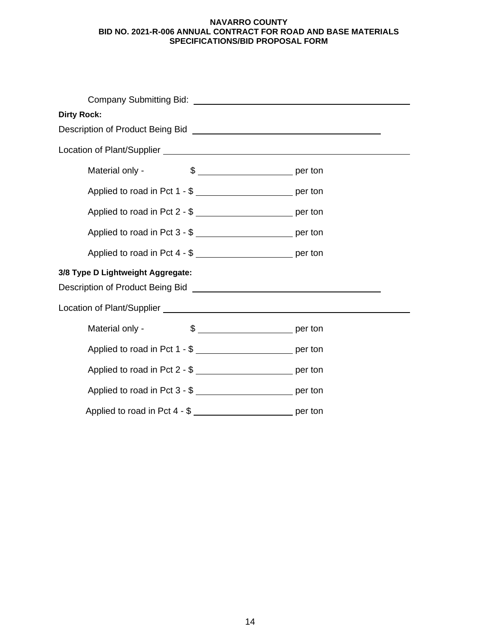| <b>Dirty Rock:</b>                                                                                            |                                                                                                                |  |  |  |
|---------------------------------------------------------------------------------------------------------------|----------------------------------------------------------------------------------------------------------------|--|--|--|
|                                                                                                               | Description of Product Being Bid [100] [2010] [2010] [2010] [2010] [2010] [2010] [2010] [2010] [2010] [2010] [ |  |  |  |
|                                                                                                               |                                                                                                                |  |  |  |
| Material only -                                                                                               |                                                                                                                |  |  |  |
| Applied to road in Pct 1 - \$                                                                                 |                                                                                                                |  |  |  |
| Applied to road in Pct 2 - \$ ___________________________ per ton                                             |                                                                                                                |  |  |  |
| Applied to road in Pct 3 - \$ __________________________ per ton                                              |                                                                                                                |  |  |  |
| Applied to road in Pct 4 - \$ ___________________________ per ton                                             |                                                                                                                |  |  |  |
| 3/8 Type D Lightweight Aggregate:<br>Description of Product Being Bid <b>Description of Product Being Bid</b> |                                                                                                                |  |  |  |
|                                                                                                               |                                                                                                                |  |  |  |
| Material only -                                                                                               |                                                                                                                |  |  |  |
| Applied to road in Pct 1 - \$                                                                                 |                                                                                                                |  |  |  |
| Applied to road in Pct 2 - \$                                                                                 |                                                                                                                |  |  |  |
| Applied to road in Pct 3 - \$ ___________________________ per ton                                             |                                                                                                                |  |  |  |
| Applied to road in Pct 4 - \$                                                                                 |                                                                                                                |  |  |  |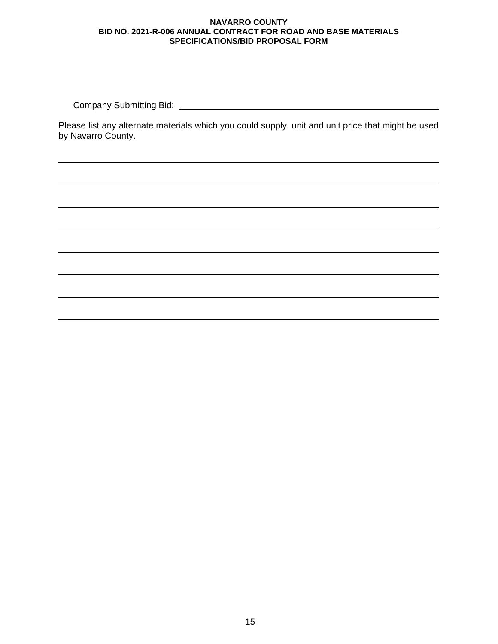Company Submitting Bid:

Please list any alternate materials which you could supply, unit and unit price that might be used by Navarro County.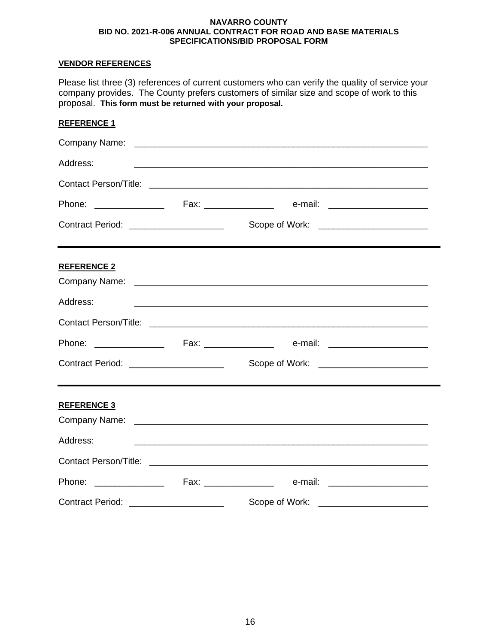## **VENDOR REFERENCES**

| Please list three (3) references of current customers who can verify the quality of service your<br>company provides. The County prefers customers of similar size and scope of work to this<br>proposal. This form must be returned with your proposal. |  |  |  |
|----------------------------------------------------------------------------------------------------------------------------------------------------------------------------------------------------------------------------------------------------------|--|--|--|
| <b>REFERENCE 1</b>                                                                                                                                                                                                                                       |  |  |  |
|                                                                                                                                                                                                                                                          |  |  |  |
| Address:                                                                                                                                                                                                                                                 |  |  |  |
|                                                                                                                                                                                                                                                          |  |  |  |
|                                                                                                                                                                                                                                                          |  |  |  |
| Contract Period: ______________________                                                                                                                                                                                                                  |  |  |  |
| <b>REFERENCE 2</b><br>Address:                                                                                                                                                                                                                           |  |  |  |
|                                                                                                                                                                                                                                                          |  |  |  |
| Contract Period: ______________________                                                                                                                                                                                                                  |  |  |  |
| <b>REFERENCE 3</b><br>Address:                                                                                                                                                                                                                           |  |  |  |

Contact Person/Title: Phone: \_\_\_\_\_\_\_\_\_\_\_\_\_\_ Fax: \_\_\_\_\_\_\_\_\_\_\_\_\_\_ e-mail: \_\_\_\_\_\_\_\_\_\_\_\_\_\_\_\_\_\_\_\_ Contract Period: \_\_\_\_\_\_\_\_\_\_\_\_\_\_\_\_\_\_\_ Scope of Work: \_\_\_\_\_\_\_\_\_\_\_\_\_\_\_\_\_\_\_\_\_\_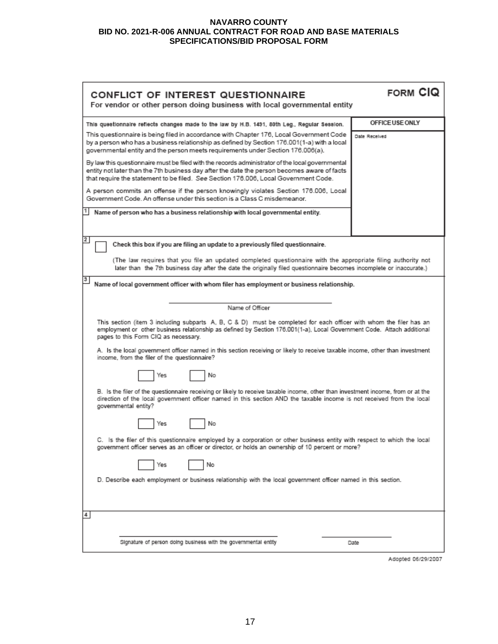| CONFLICT OF INTEREST QUESTIONNAIRE<br>For vendor or other person doing business with local governmental entity                                                                                                                                                                                                                                                                                                        | FORM CIQ        |  |  |
|-----------------------------------------------------------------------------------------------------------------------------------------------------------------------------------------------------------------------------------------------------------------------------------------------------------------------------------------------------------------------------------------------------------------------|-----------------|--|--|
| This questionnaire reflects changes made to the law by H.B. 1491, 80th Leg., Regular Session.                                                                                                                                                                                                                                                                                                                         | OFFICE USE ONLY |  |  |
| This questionnaire is being filed in accordance with Chapter 176, Local Government Code<br>by a person who has a business relationship as defined by Section 176.001(1-a) with a local<br>governmental entity and the person meets requirements under Section 176.006(a).                                                                                                                                             | Date Received   |  |  |
| By law this questionnaire must be filed with the records administrator of the local governmental<br>entity not later than the 7th business day after the date the person becomes aware of facts<br>that require the statement to be filed. See Section 176.006, Local Government Code.                                                                                                                                |                 |  |  |
| A person commits an offense if the person knowingly violates Section 176.006, Local<br>Government Code. An offense under this section is a Class C misdemeanor.                                                                                                                                                                                                                                                       |                 |  |  |
| Name of person who has a business relationship with local governmental entity.                                                                                                                                                                                                                                                                                                                                        |                 |  |  |
| $\mathbf{2}$<br>Check this box if you are filing an update to a previously filed questionnaire.                                                                                                                                                                                                                                                                                                                       |                 |  |  |
| (The law requires that you file an updated completed questionnaire with the appropriate filing authority not<br>later than the 7th business day after the date the originally filed questionnaire becomes incomplete or inaccurate.)                                                                                                                                                                                  |                 |  |  |
| 3<br>Name of local government officer with whom filer has employment or business relationship.                                                                                                                                                                                                                                                                                                                        |                 |  |  |
| Name of Officer                                                                                                                                                                                                                                                                                                                                                                                                       |                 |  |  |
| This section (item 3 including subparts A, B, C & D) must be completed for each officer with whom the filer has an<br>employment or other business relationship as defined by Section 176.001(1-a), Local Government Code. Attach additional<br>pages to this Form CIQ as necessary.<br>A. Is the local government officer named in this section receiving or likely to receive taxable income, other than investment |                 |  |  |
| income, from the filer of the questionnaire?<br>No<br>Yes                                                                                                                                                                                                                                                                                                                                                             |                 |  |  |
| B. Is the filer of the questionnaire receiving or likely to receive taxable income, other than investment income, from or at the<br>direction of the local government officer named in this section AND the taxable income is not received from the local<br>governmental entity?                                                                                                                                     |                 |  |  |
| No<br>Yes                                                                                                                                                                                                                                                                                                                                                                                                             |                 |  |  |
| C. Is the filer of this questionnaire employed by a corporation or other business entity with respect to which the local<br>government officer serves as an officer or director, or holds an ownership of 10 percent or more?                                                                                                                                                                                         |                 |  |  |
| No<br>Yes                                                                                                                                                                                                                                                                                                                                                                                                             |                 |  |  |
| D. Describe each employment or business relationship with the local government officer named in this section.                                                                                                                                                                                                                                                                                                         |                 |  |  |
| 4                                                                                                                                                                                                                                                                                                                                                                                                                     |                 |  |  |
| Signature of person doing business with the governmental entity                                                                                                                                                                                                                                                                                                                                                       | Date            |  |  |

Adopted 06/29/2007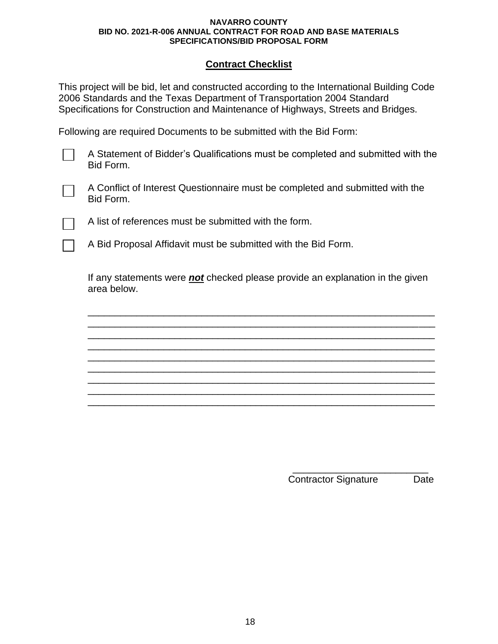## **Contract Checklist**

This project will be bid, let and constructed according to the International Building Code 2006 Standards and the Texas Department of Transportation 2004 Standard Specifications for Construction and Maintenance of Highways, Streets and Bridges.

Following are required Documents to be submitted with the Bid Form:

A Statement of Bidder's Qualifications must be completed and submitted with the Bid Form.



A Conflict of Interest Questionnaire must be completed and submitted with the Bid Form.

A list of references must be submitted with the form.

A Bid Proposal Affidavit must be submitted with the Bid Form.

If any statements were *not* checked please provide an explanation in the given area below.

\_\_\_\_\_\_\_\_\_\_\_\_\_\_\_\_\_\_\_\_\_\_\_\_\_\_\_\_\_\_\_\_\_\_\_\_\_\_\_\_\_\_\_\_\_\_\_\_\_\_\_\_\_\_\_\_\_\_\_\_\_\_\_\_ \_\_\_\_\_\_\_\_\_\_\_\_\_\_\_\_\_\_\_\_\_\_\_\_\_\_\_\_\_\_\_\_\_\_\_\_\_\_\_\_\_\_\_\_\_\_\_\_\_\_\_\_\_\_\_\_\_\_\_\_\_\_\_\_ \_\_\_\_\_\_\_\_\_\_\_\_\_\_\_\_\_\_\_\_\_\_\_\_\_\_\_\_\_\_\_\_\_\_\_\_\_\_\_\_\_\_\_\_\_\_\_\_\_\_\_\_\_\_\_\_\_\_\_\_\_\_\_\_ \_\_\_\_\_\_\_\_\_\_\_\_\_\_\_\_\_\_\_\_\_\_\_\_\_\_\_\_\_\_\_\_\_\_\_\_\_\_\_\_\_\_\_\_\_\_\_\_\_\_\_\_\_\_\_\_\_\_\_\_\_\_\_\_ \_\_\_\_\_\_\_\_\_\_\_\_\_\_\_\_\_\_\_\_\_\_\_\_\_\_\_\_\_\_\_\_\_\_\_\_\_\_\_\_\_\_\_\_\_\_\_\_\_\_\_\_\_\_\_\_\_\_\_\_\_\_\_\_ \_\_\_\_\_\_\_\_\_\_\_\_\_\_\_\_\_\_\_\_\_\_\_\_\_\_\_\_\_\_\_\_\_\_\_\_\_\_\_\_\_\_\_\_\_\_\_\_\_\_\_\_\_\_\_\_\_\_\_\_\_\_\_\_ \_\_\_\_\_\_\_\_\_\_\_\_\_\_\_\_\_\_\_\_\_\_\_\_\_\_\_\_\_\_\_\_\_\_\_\_\_\_\_\_\_\_\_\_\_\_\_\_\_\_\_\_\_\_\_\_\_\_\_\_\_\_\_\_ \_\_\_\_\_\_\_\_\_\_\_\_\_\_\_\_\_\_\_\_\_\_\_\_\_\_\_\_\_\_\_\_\_\_\_\_\_\_\_\_\_\_\_\_\_\_\_\_\_\_\_\_\_\_\_\_\_\_\_\_\_\_\_\_ \_\_\_\_\_\_\_\_\_\_\_\_\_\_\_\_\_\_\_\_\_\_\_\_\_\_\_\_\_\_\_\_\_\_\_\_\_\_\_\_\_\_\_\_\_\_\_\_\_\_\_\_\_\_\_\_\_\_\_\_\_\_\_\_

> \_\_\_\_\_\_\_\_\_\_\_\_\_\_\_\_\_\_\_\_\_\_\_\_\_ Contractor Signature Date